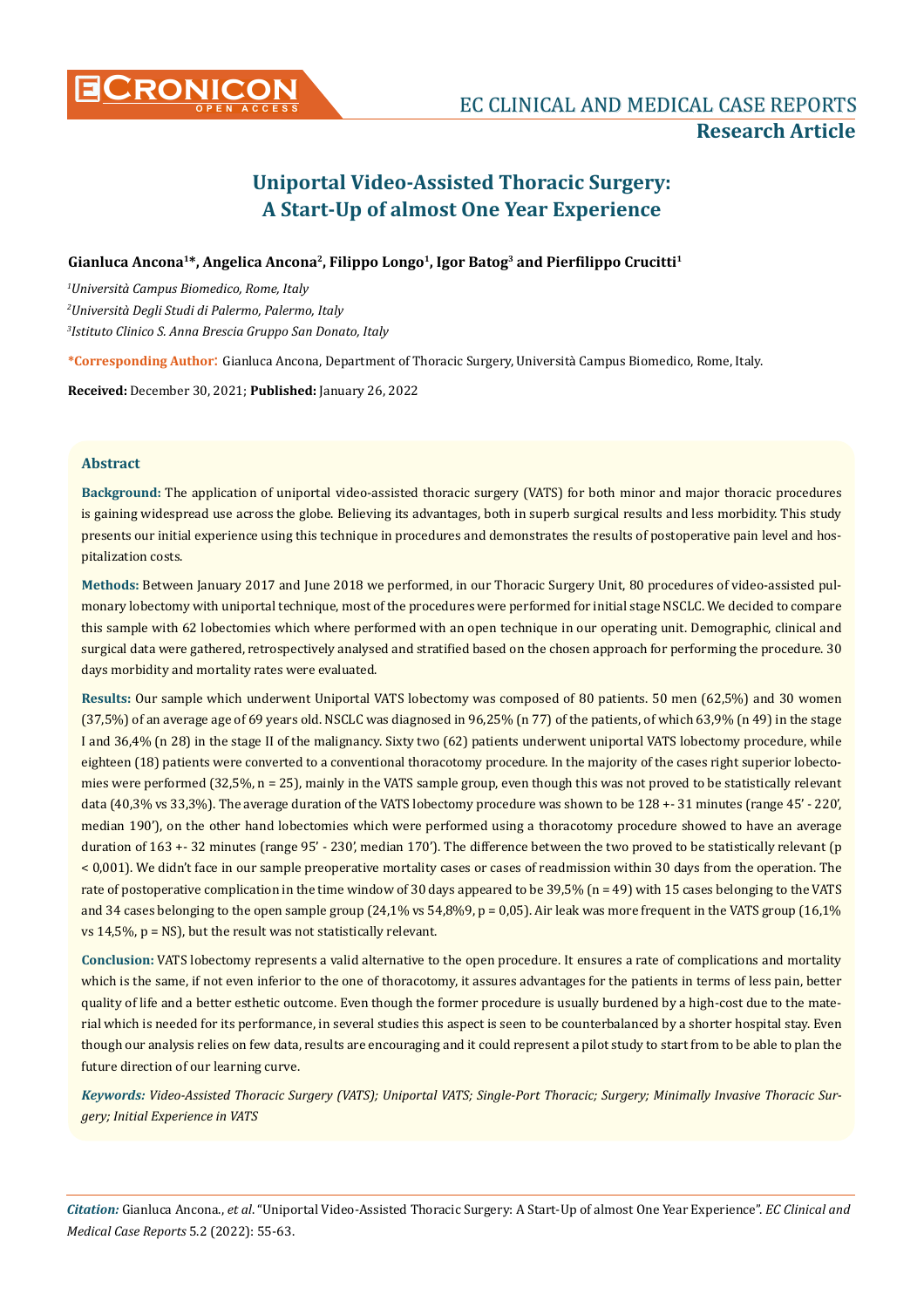# **Uniportal Video-Assisted Thoracic Surgery: A Start-Up of almost One Year Experience**

## **Gianluca Ancona1\*, Angelica Ancona2, Filippo Longo1, Igor Batog3 and Pierfilippo Crucitti<sup>1</sup>**

*1 Università Campus Biomedico, Rome, Italy 2 Università Degli Studi di Palermo, Palermo, Italy 3 Istituto Clinico S. Anna Brescia Gruppo San Donato, Italy*

**\*Corresponding Author**: Gianluca Ancona, Department of Thoracic Surgery, Università Campus Biomedico, Rome, Italy.

**Received:** December 30, 2021; **Published:** January 26, 2022

## **Abstract**

**Background:** The application of uniportal video-assisted thoracic surgery (VATS) for both minor and major thoracic procedures is gaining widespread use across the globe. Believing its advantages, both in superb surgical results and less morbidity. This study presents our initial experience using this technique in procedures and demonstrates the results of postoperative pain level and hospitalization costs.

**Methods:** Between January 2017 and June 2018 we performed, in our Thoracic Surgery Unit, 80 procedures of video-assisted pulmonary lobectomy with uniportal technique, most of the procedures were performed for initial stage NSCLC. We decided to compare this sample with 62 lobectomies which where performed with an open technique in our operating unit. Demographic, clinical and surgical data were gathered, retrospectively analysed and stratified based on the chosen approach for performing the procedure. 30 days morbidity and mortality rates were evaluated.

**Results:** Our sample which underwent Uniportal VATS lobectomy was composed of 80 patients. 50 men (62,5%) and 30 women (37,5%) of an average age of 69 years old. NSCLC was diagnosed in 96,25% (n 77) of the patients, of which 63,9% (n 49) in the stage I and 36,4% (n 28) in the stage II of the malignancy. Sixty two (62) patients underwent uniportal VATS lobectomy procedure, while eighteen (18) patients were converted to a conventional thoracotomy procedure. In the majority of the cases right superior lobectomies were performed (32,5%, n = 25), mainly in the VATS sample group, even though this was not proved to be statistically relevant data (40,3% vs 33,3%). The average duration of the VATS lobectomy procedure was shown to be 128 +- 31 minutes (range 45' - 220', median 190'), on the other hand lobectomies which were performed using a thoracotomy procedure showed to have an average duration of 163 +- 32 minutes (range 95' - 230', median 170'). The difference between the two proved to be statistically relevant (p < 0,001). We didn't face in our sample preoperative mortality cases or cases of readmission within 30 days from the operation. The rate of postoperative complication in the time window of 30 days appeared to be 39,5% (n = 49) with 15 cases belonging to the VATS and 34 cases belonging to the open sample group  $(24,1\% \text{ vs } 54,8\%9, p = 0,05)$ . Air leak was more frequent in the VATS group  $(16,1\%$ vs 14,5%, p = NS), but the result was not statistically relevant.

**Conclusion:** VATS lobectomy represents a valid alternative to the open procedure. It ensures a rate of complications and mortality which is the same, if not even inferior to the one of thoracotomy, it assures advantages for the patients in terms of less pain, better quality of life and a better esthetic outcome. Even though the former procedure is usually burdened by a high-cost due to the material which is needed for its performance, in several studies this aspect is seen to be counterbalanced by a shorter hospital stay. Even though our analysis relies on few data, results are encouraging and it could represent a pilot study to start from to be able to plan the future direction of our learning curve.

*Keywords: Video-Assisted Thoracic Surgery (VATS); Uniportal VATS; Single-Port Thoracic; Surgery; Minimally Invasive Thoracic Surgery; Initial Experience in VATS*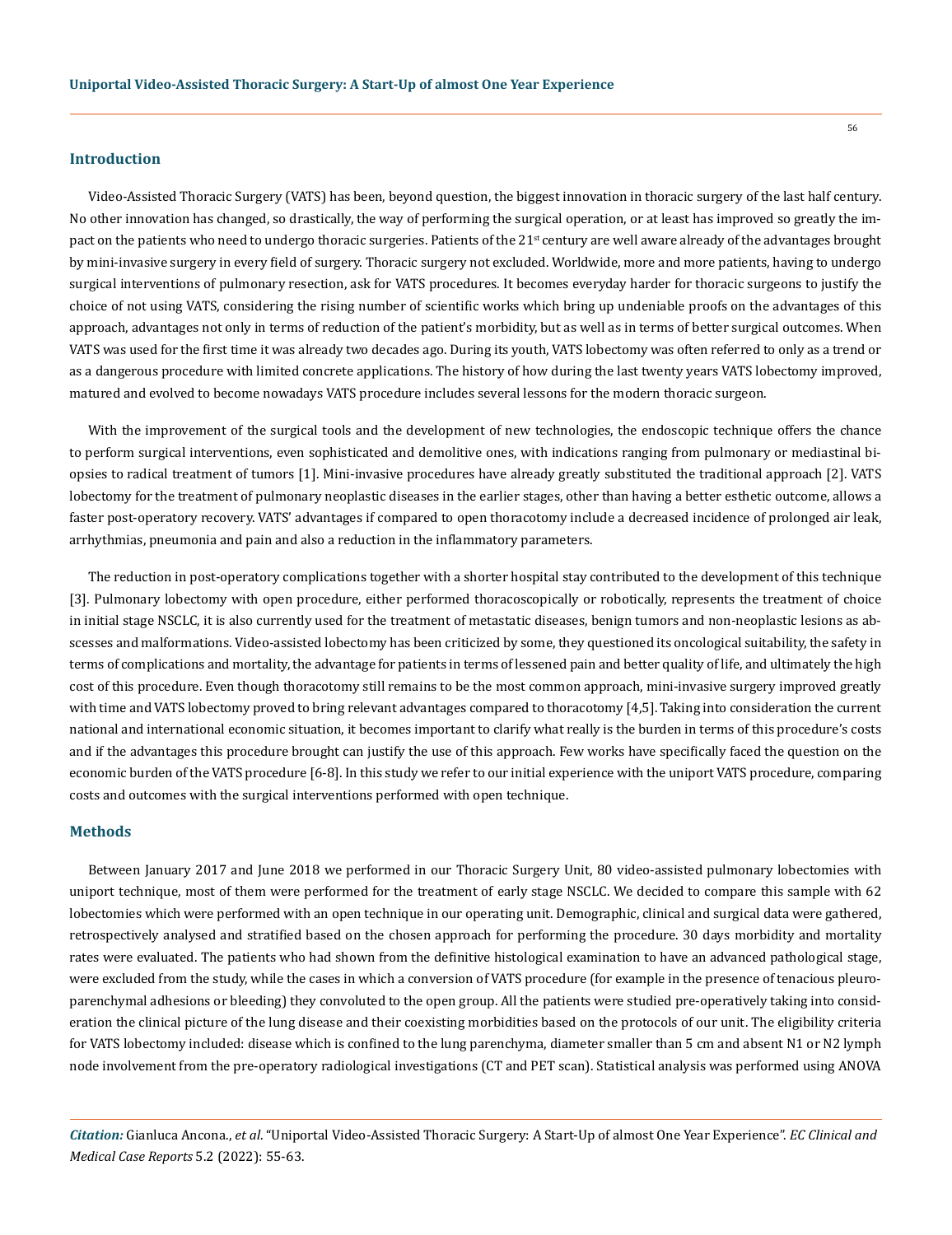#### **Introduction**

Video-Assisted Thoracic Surgery (VATS) has been, beyond question, the biggest innovation in thoracic surgery of the last half century. No other innovation has changed, so drastically, the way of performing the surgical operation, or at least has improved so greatly the impact on the patients who need to undergo thoracic surgeries. Patients of the 21<sup>st</sup> century are well aware already of the advantages brought by mini-invasive surgery in every field of surgery. Thoracic surgery not excluded. Worldwide, more and more patients, having to undergo surgical interventions of pulmonary resection, ask for VATS procedures. It becomes everyday harder for thoracic surgeons to justify the choice of not using VATS, considering the rising number of scientific works which bring up undeniable proofs on the advantages of this approach, advantages not only in terms of reduction of the patient's morbidity, but as well as in terms of better surgical outcomes. When VATS was used for the first time it was already two decades ago. During its youth, VATS lobectomy was often referred to only as a trend or as a dangerous procedure with limited concrete applications. The history of how during the last twenty years VATS lobectomy improved, matured and evolved to become nowadays VATS procedure includes several lessons for the modern thoracic surgeon.

With the improvement of the surgical tools and the development of new technologies, the endoscopic technique offers the chance to perform surgical interventions, even sophisticated and demolitive ones, with indications ranging from pulmonary or mediastinal biopsies to radical treatment of tumors [1]. Mini-invasive procedures have already greatly substituted the traditional approach [2]. VATS lobectomy for the treatment of pulmonary neoplastic diseases in the earlier stages, other than having a better esthetic outcome, allows a faster post-operatory recovery. VATS' advantages if compared to open thoracotomy include a decreased incidence of prolonged air leak, arrhythmias, pneumonia and pain and also a reduction in the inflammatory parameters.

The reduction in post-operatory complications together with a shorter hospital stay contributed to the development of this technique [3]. Pulmonary lobectomy with open procedure, either performed thoracoscopically or robotically, represents the treatment of choice in initial stage NSCLC, it is also currently used for the treatment of metastatic diseases, benign tumors and non-neoplastic lesions as abscesses and malformations. Video-assisted lobectomy has been criticized by some, they questioned its oncological suitability, the safety in terms of complications and mortality, the advantage for patients in terms of lessened pain and better quality of life, and ultimately the high cost of this procedure. Even though thoracotomy still remains to be the most common approach, mini-invasive surgery improved greatly with time and VATS lobectomy proved to bring relevant advantages compared to thoracotomy [4,5]. Taking into consideration the current national and international economic situation, it becomes important to clarify what really is the burden in terms of this procedure's costs and if the advantages this procedure brought can justify the use of this approach. Few works have specifically faced the question on the economic burden of the VATS procedure [6-8]. In this study we refer to our initial experience with the uniport VATS procedure, comparing costs and outcomes with the surgical interventions performed with open technique.

## **Methods**

Between January 2017 and June 2018 we performed in our Thoracic Surgery Unit, 80 video-assisted pulmonary lobectomies with uniport technique, most of them were performed for the treatment of early stage NSCLC. We decided to compare this sample with 62 lobectomies which were performed with an open technique in our operating unit. Demographic, clinical and surgical data were gathered, retrospectively analysed and stratified based on the chosen approach for performing the procedure. 30 days morbidity and mortality rates were evaluated. The patients who had shown from the definitive histological examination to have an advanced pathological stage, were excluded from the study, while the cases in which a conversion of VATS procedure (for example in the presence of tenacious pleuroparenchymal adhesions or bleeding) they convoluted to the open group. All the patients were studied pre-operatively taking into consideration the clinical picture of the lung disease and their coexisting morbidities based on the protocols of our unit. The eligibility criteria for VATS lobectomy included: disease which is confined to the lung parenchyma, diameter smaller than 5 cm and absent N1 or N2 lymph node involvement from the pre-operatory radiological investigations (CT and PET scan). Statistical analysis was performed using ANOVA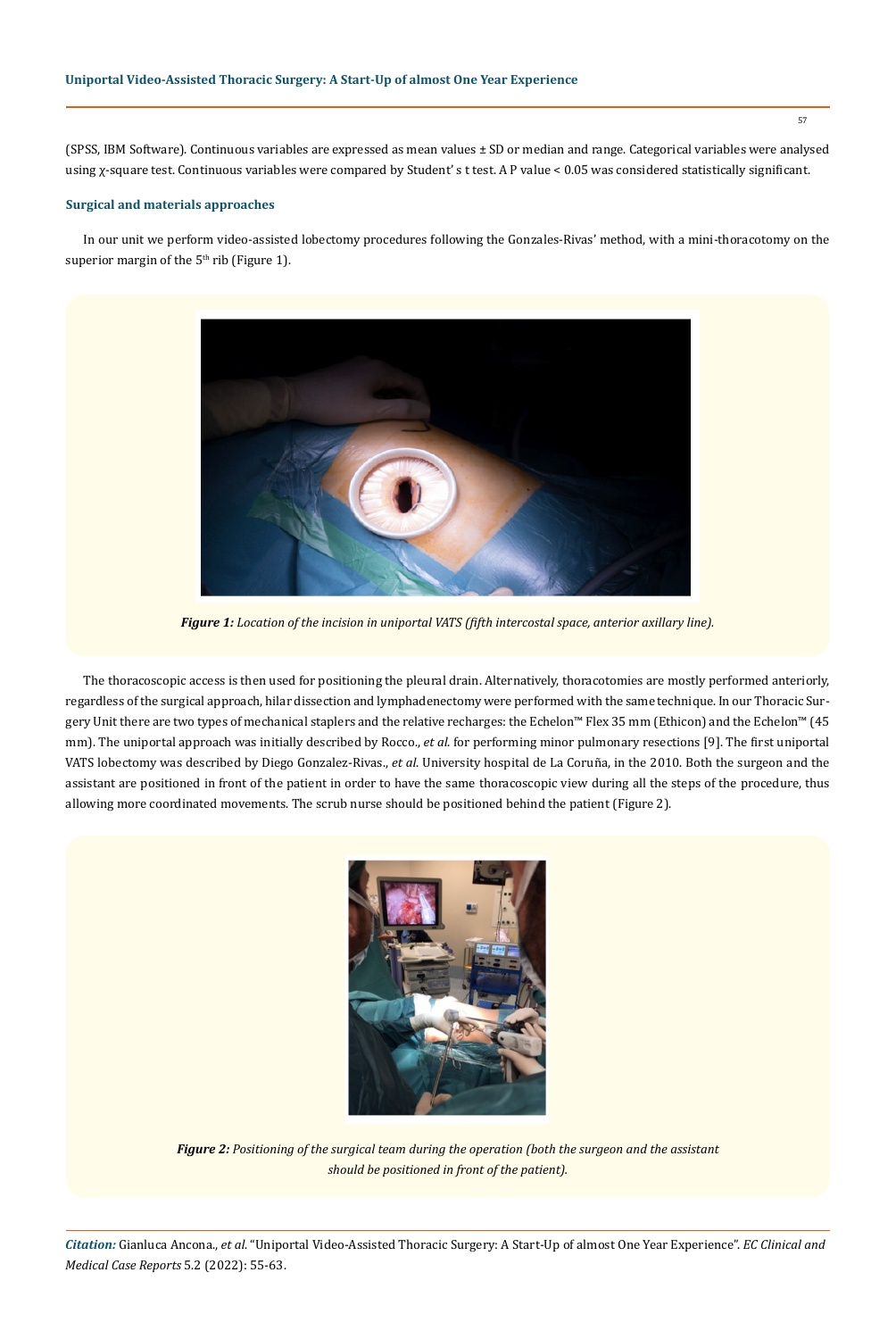(SPSS, IBM Software). Continuous variables are expressed as mean values ± SD or median and range. Categorical variables were analysed using χ-square test. Continuous variables were compared by Student' s t test. A P value < 0.05 was considered statistically significant.

## **Surgical and materials approaches**

In our unit we perform video-assisted lobectomy procedures following the Gonzales-Rivas' method, with a mini-thoracotomy on the superior margin of the  $5<sup>th</sup>$  rib (Figure 1).



*Figure 1: Location of the incision in uniportal VATS (fifth intercostal space, anterior axillary line).*

The thoracoscopic access is then used for positioning the pleural drain. Alternatively, thoracotomies are mostly performed anteriorly, regardless of the surgical approach, hilar dissection and lymphadenectomy were performed with the same technique. In our Thoracic Surgery Unit there are two types of mechanical staplers and the relative recharges: the Echelon™ Flex 35 mm (Ethicon) and the Echelon™ (45 mm). The uniportal approach was initially described by Rocco., *et al*. for performing minor pulmonary resections [9]. The first uniportal VATS lobectomy was described by Diego Gonzalez-Rivas., *et al*. University hospital de La Coruña, in the 2010. Both the surgeon and the assistant are positioned in front of the patient in order to have the same thoracoscopic view during all the steps of the procedure, thus allowing more coordinated movements. The scrub nurse should be positioned behind the patient (Figure 2).



*Figure 2: Positioning of the surgical team during the operation (both the surgeon and the assistant should be positioned in front of the patient).*

*Citation:* Gianluca Ancona., *et al*. "Uniportal Video-Assisted Thoracic Surgery: A Start-Up of almost One Year Experience". *EC Clinical and Medical Case Reports* 5.2 (2022): 55-63.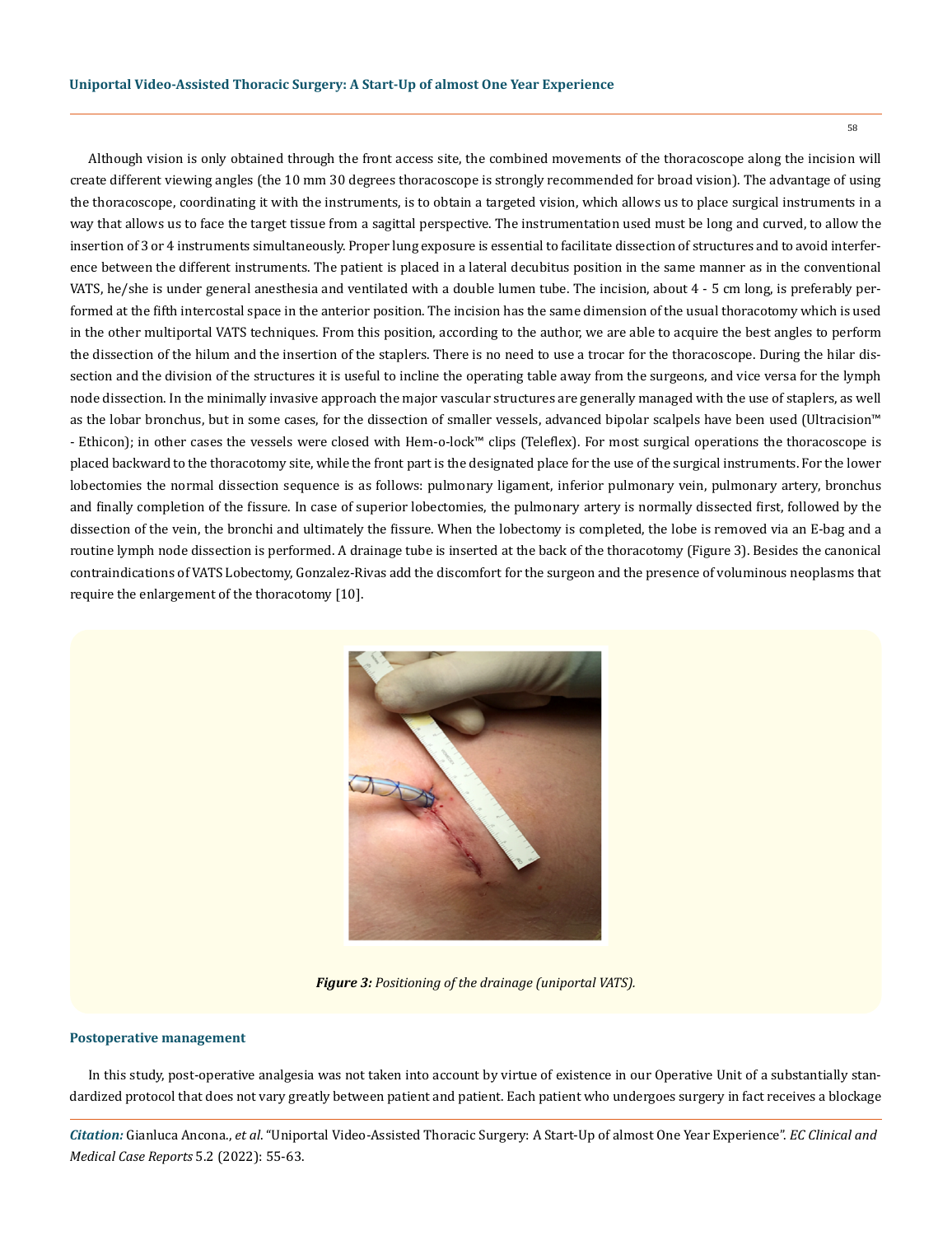Although vision is only obtained through the front access site, the combined movements of the thoracoscope along the incision will create different viewing angles (the 10 mm 30 degrees thoracoscope is strongly recommended for broad vision). The advantage of using the thoracoscope, coordinating it with the instruments, is to obtain a targeted vision, which allows us to place surgical instruments in a way that allows us to face the target tissue from a sagittal perspective. The instrumentation used must be long and curved, to allow the insertion of 3 or 4 instruments simultaneously. Proper lung exposure is essential to facilitate dissection of structures and to avoid interference between the different instruments. The patient is placed in a lateral decubitus position in the same manner as in the conventional VATS, he/she is under general anesthesia and ventilated with a double lumen tube. The incision, about 4 - 5 cm long, is preferably performed at the fifth intercostal space in the anterior position. The incision has the same dimension of the usual thoracotomy which is used in the other multiportal VATS techniques. From this position, according to the author, we are able to acquire the best angles to perform the dissection of the hilum and the insertion of the staplers. There is no need to use a trocar for the thoracoscope. During the hilar dissection and the division of the structures it is useful to incline the operating table away from the surgeons, and vice versa for the lymph node dissection. In the minimally invasive approach the major vascular structures are generally managed with the use of staplers, as well as the lobar bronchus, but in some cases, for the dissection of smaller vessels, advanced bipolar scalpels have been used (Ultracision™ - Ethicon); in other cases the vessels were closed with Hem-o-lock™ clips (Teleflex). For most surgical operations the thoracoscope is placed backward to the thoracotomy site, while the front part is the designated place for the use of the surgical instruments. For the lower lobectomies the normal dissection sequence is as follows: pulmonary ligament, inferior pulmonary vein, pulmonary artery, bronchus and finally completion of the fissure. In case of superior lobectomies, the pulmonary artery is normally dissected first, followed by the dissection of the vein, the bronchi and ultimately the fissure. When the lobectomy is completed, the lobe is removed via an E-bag and a routine lymph node dissection is performed. A drainage tube is inserted at the back of the thoracotomy (Figure 3). Besides the canonical contraindications of VATS Lobectomy, Gonzalez-Rivas add the discomfort for the surgeon and the presence of voluminous neoplasms that require the enlargement of the thoracotomy [10].



*Figure 3: Positioning of the drainage (uniportal VATS).*

#### **Postoperative management**

In this study, post-operative analgesia was not taken into account by virtue of existence in our Operative Unit of a substantially standardized protocol that does not vary greatly between patient and patient. Each patient who undergoes surgery in fact receives a blockage

*Citation:* Gianluca Ancona., *et al*. "Uniportal Video-Assisted Thoracic Surgery: A Start-Up of almost One Year Experience". *EC Clinical and Medical Case Reports* 5.2 (2022): 55-63.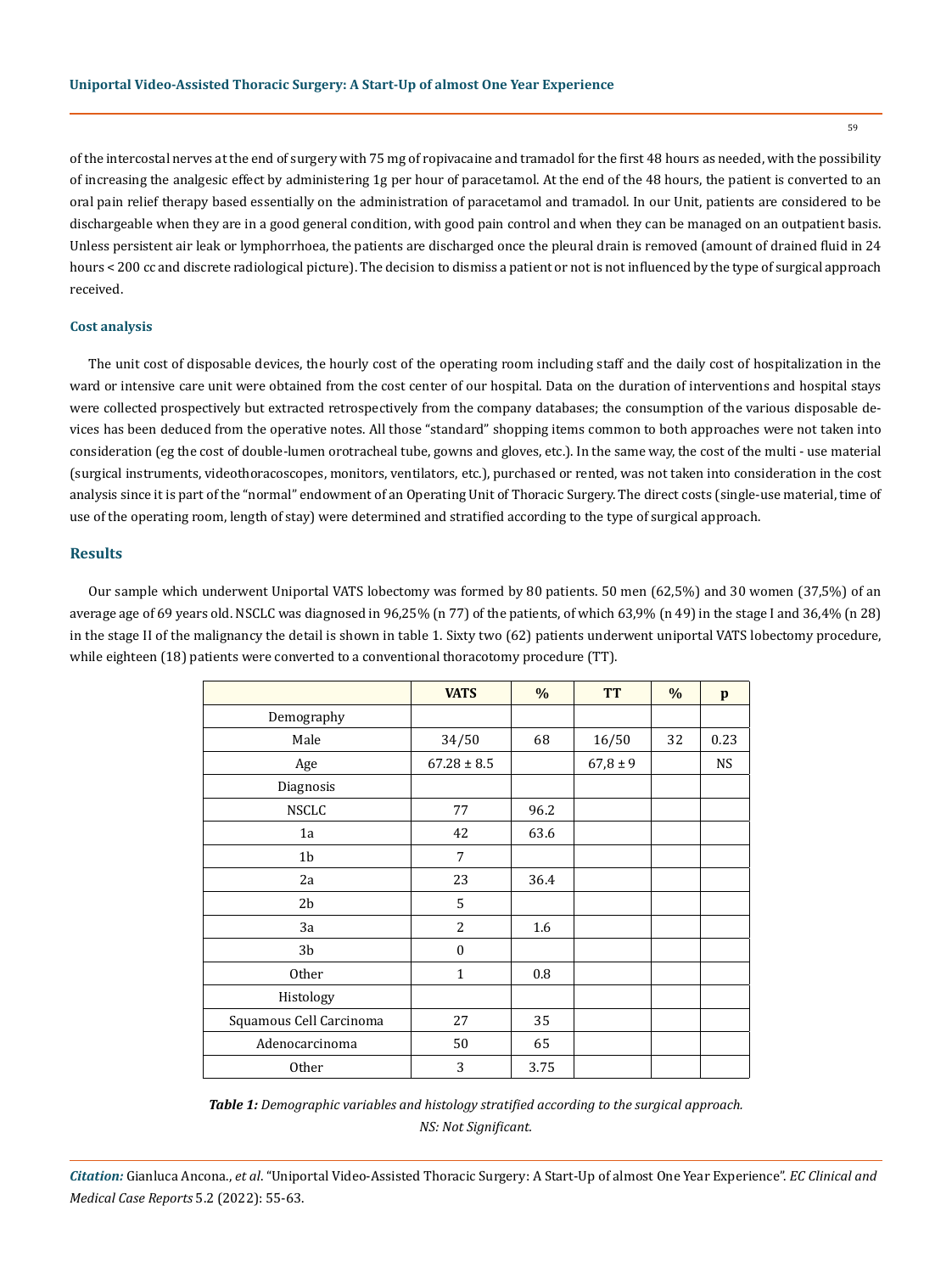of the intercostal nerves at the end of surgery with 75 mg of ropivacaine and tramadol for the first 48 hours as needed, with the possibility of increasing the analgesic effect by administering 1g per hour of paracetamol. At the end of the 48 hours, the patient is converted to an oral pain relief therapy based essentially on the administration of paracetamol and tramadol. In our Unit, patients are considered to be dischargeable when they are in a good general condition, with good pain control and when they can be managed on an outpatient basis. Unless persistent air leak or lymphorrhoea, the patients are discharged once the pleural drain is removed (amount of drained fluid in 24 hours < 200 cc and discrete radiological picture). The decision to dismiss a patient or not is not influenced by the type of surgical approach received.

#### **Cost analysis**

The unit cost of disposable devices, the hourly cost of the operating room including staff and the daily cost of hospitalization in the ward or intensive care unit were obtained from the cost center of our hospital. Data on the duration of interventions and hospital stays were collected prospectively but extracted retrospectively from the company databases; the consumption of the various disposable devices has been deduced from the operative notes. All those "standard" shopping items common to both approaches were not taken into consideration (eg the cost of double-lumen orotracheal tube, gowns and gloves, etc.). In the same way, the cost of the multi - use material (surgical instruments, videothoracoscopes, monitors, ventilators, etc.), purchased or rented, was not taken into consideration in the cost analysis since it is part of the "normal" endowment of an Operating Unit of Thoracic Surgery. The direct costs (single-use material, time of use of the operating room, length of stay) were determined and stratified according to the type of surgical approach.

## **Results**

Our sample which underwent Uniportal VATS lobectomy was formed by 80 patients. 50 men (62,5%) and 30 women (37,5%) of an average age of 69 years old. NSCLC was diagnosed in 96,25% (n 77) of the patients, of which 63,9% (n 49) in the stage I and 36,4% (n 28) in the stage II of the malignancy the detail is shown in table 1. Sixty two (62) patients underwent uniportal VATS lobectomy procedure, while eighteen (18) patients were converted to a conventional thoracotomy procedure (TT).

|                         | <b>VATS</b>     | $\%$ | <b>TT</b>    | $\%$ | $\mathbf{p}$ |
|-------------------------|-----------------|------|--------------|------|--------------|
| Demography              |                 |      |              |      |              |
| Male                    | 34/50           | 68   | 16/50        | 32   | 0.23         |
| Age                     | $67.28 \pm 8.5$ |      | $67,8 \pm 9$ |      | <b>NS</b>    |
| Diagnosis               |                 |      |              |      |              |
| <b>NSCLC</b>            | 77              | 96.2 |              |      |              |
| 1a                      | 42              | 63.6 |              |      |              |
| 1 <sub>b</sub>          | 7               |      |              |      |              |
| 2a                      | 23              | 36.4 |              |      |              |
| 2 <sub>b</sub>          | 5               |      |              |      |              |
| 3a                      | $\overline{2}$  | 1.6  |              |      |              |
| 3b                      | $\mathbf{0}$    |      |              |      |              |
| <b>Other</b>            | $\mathbf{1}$    | 0.8  |              |      |              |
| Histology               |                 |      |              |      |              |
| Squamous Cell Carcinoma | 27              | 35   |              |      |              |
| Adenocarcinoma          | 50              | 65   |              |      |              |
| Other                   | 3               | 3.75 |              |      |              |

*Table 1: Demographic variables and histology stratified according to the surgical approach. NS: Not Significant.*

*Citation:* Gianluca Ancona., *et al*. "Uniportal Video-Assisted Thoracic Surgery: A Start-Up of almost One Year Experience". *EC Clinical and Medical Case Reports* 5.2 (2022): 55-63.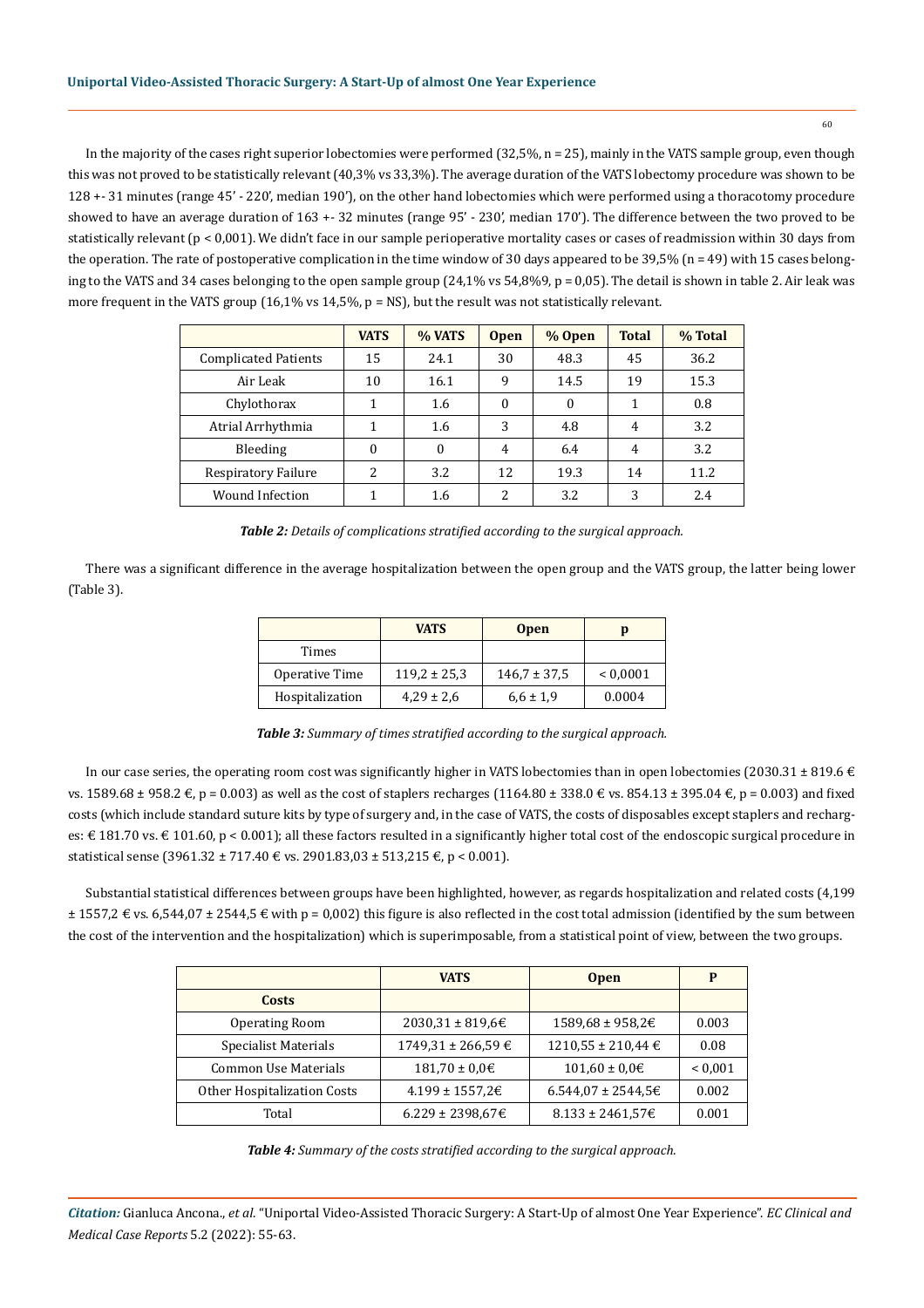In the majority of the cases right superior lobectomies were performed (32,5%, n = 25), mainly in the VATS sample group, even though this was not proved to be statistically relevant (40,3% vs 33,3%). The average duration of the VATS lobectomy procedure was shown to be 128 +- 31 minutes (range 45' - 220', median 190'), on the other hand lobectomies which were performed using a thoracotomy procedure showed to have an average duration of 163 +- 32 minutes (range 95' - 230', median 170'). The difference between the two proved to be statistically relevant ( $p < 0.001$ ). We didn't face in our sample perioperative mortality cases or cases of readmission within 30 days from the operation. The rate of postoperative complication in the time window of 30 days appeared to be  $39,5\%$  (n = 49) with 15 cases belonging to the VATS and 34 cases belonging to the open sample group (24,1% vs 54,8%9, p = 0,05). The detail is shown in table 2. Air leak was more frequent in the VATS group  $(16,1\% \text{ vs } 14,5\% \text{ p = NS})$ , but the result was not statistically relevant.

|                             | <b>VATS</b> | % VATS   | <b>Open</b>   | % Open       | <b>Total</b>   | % Total |
|-----------------------------|-------------|----------|---------------|--------------|----------------|---------|
| <b>Complicated Patients</b> | 15          | 24.1     | 30            | 48.3         | 45             | 36.2    |
| Air Leak                    | 10          | 16.1     | 9             | 14.5         | 19             | 15.3    |
| Chylothorax                 |             | 1.6      | 0             | $\mathbf{0}$ | 1              | 0.8     |
| Atrial Arrhythmia           |             | 1.6      | 3             | 4.8          | $\overline{4}$ | 3.2     |
| Bleeding                    | 0           | $\theta$ | 4             | 6.4          | $\overline{4}$ | 3.2     |
| Respiratory Failure         | 2           | 3.2      | 12            | 19.3         | 14             | 11.2    |
| Wound Infection             |             | 1.6      | $\mathcal{P}$ | 3.2          | 3              | 2.4     |

*Table 2: Details of complications stratified according to the surgical approach.*

There was a significant difference in the average hospitalization between the open group and the VATS group, the latter being lower (Table 3).

|                 | <b>VATS</b>      | <b>Open</b>      |              |
|-----------------|------------------|------------------|--------------|
| Times           |                  |                  |              |
| Operative Time  | $119.2 \pm 25.3$ | $146.7 \pm 37.5$ | ${}< 0.0001$ |
| Hospitalization | $4,29 \pm 2,6$   | $6.6 \pm 1.9$    | 0.0004       |

*Table 3: Summary of times stratified according to the surgical approach.*

In our case series, the operating room cost was significantly higher in VATS lobectomies than in open lobectomies (2030.31  $\pm$  819.6  $\in$ vs. 1589.68 ± 958.2 €, p = 0.003) as well as the cost of staplers recharges (1164.80 ± 338.0 € vs. 854.13 ± 395.04 €, p = 0.003) and fixed costs (which include standard suture kits by type of surgery and, in the case of VATS, the costs of disposables except staplers and recharges: € 181.70 vs. € 101.60, p < 0.001); all these factors resulted in a significantly higher total cost of the endoscopic surgical procedure in statistical sense (3961.32 ± 717.40 € vs. 2901.83,03 ± 513,215 €, p < 0.001).

Substantial statistical differences between groups have been highlighted, however, as regards hospitalization and related costs (4,199  $\pm$  1557,2  $\epsilon$  vs. 6,544,07  $\pm$  2544,5  $\epsilon$  with p = 0,002) this figure is also reflected in the cost total admission (identified by the sum between the cost of the intervention and the hospitalization) which is superimposable, from a statistical point of view, between the two groups.

|                             | <b>VATS</b>              | <b>Open</b>               | P            |
|-----------------------------|--------------------------|---------------------------|--------------|
| Costs                       |                          |                           |              |
| <b>Operating Room</b>       | $2030.31 \pm 819.6 \in$  | 1589,68 ± 958,2€          | 0.003        |
| <b>Specialist Materials</b> | $1749.31 \pm 266.59 \in$ | $1210,55 \pm 210,44 \in$  | 0.08         |
| Common Use Materials        | $181,70 \pm 0,0$ €       | $101,60 \pm 0.06$         | ${}_{0.001}$ |
| Other Hospitalization Costs | $4.199 \pm 1557,2€$      | $6.544.07 \pm 2544.5 \in$ | 0.002        |
| Total                       | $6.229 \pm 2398.67 \in$  | $8.133 \pm 2461,576$      | 0.001        |

*Table 4: Summary of the costs stratified according to the surgical approach.*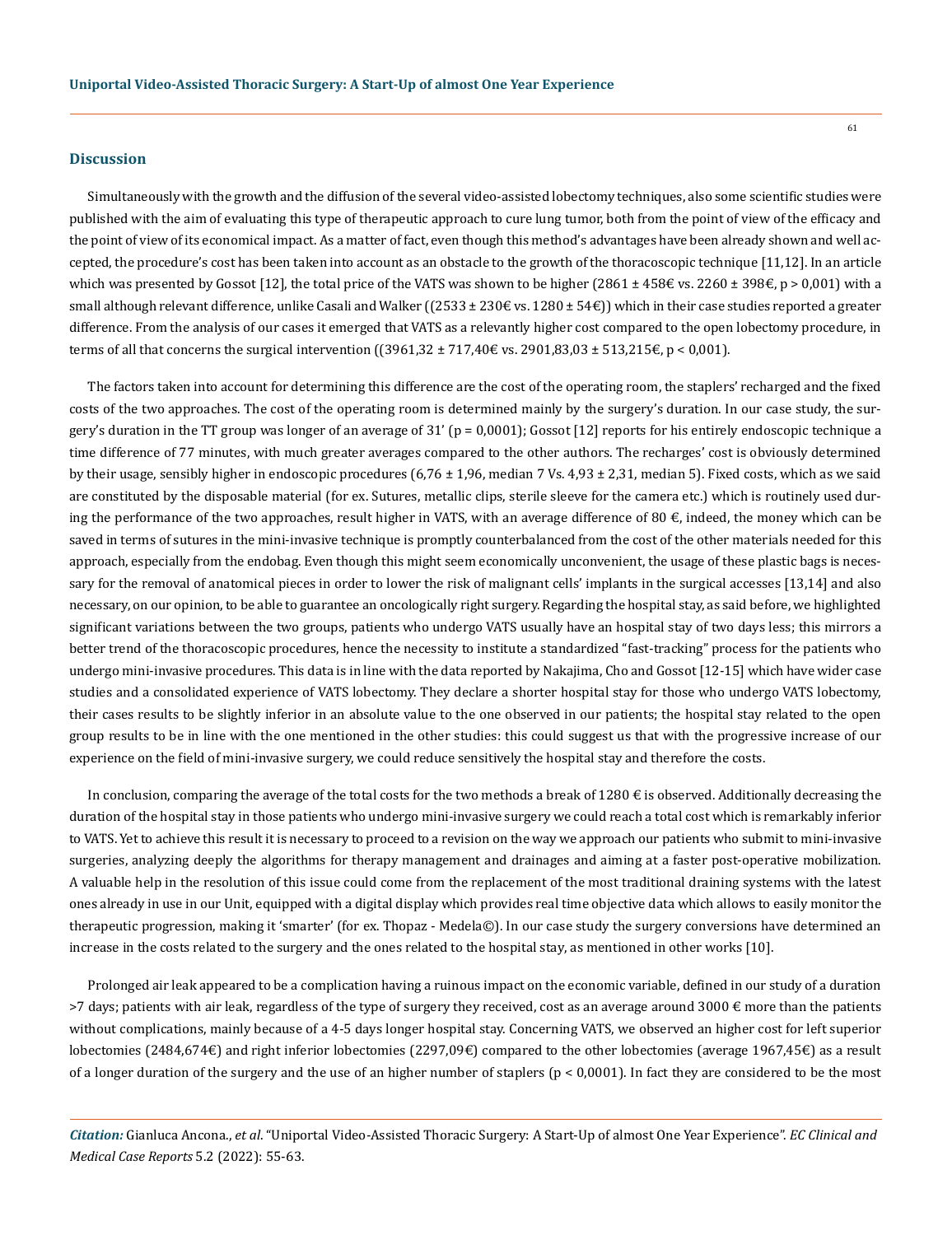#### **Discussion**

Simultaneously with the growth and the diffusion of the several video-assisted lobectomy techniques, also some scientific studies were published with the aim of evaluating this type of therapeutic approach to cure lung tumor, both from the point of view of the efficacy and the point of view of its economical impact. As a matter of fact, even though this method's advantages have been already shown and well accepted, the procedure's cost has been taken into account as an obstacle to the growth of the thoracoscopic technique [11,12]. In an article which was presented by Gossot [12], the total price of the VATS was shown to be higher (2861 ± 458€ vs. 2260 ± 398€, p > 0,001) with a small although relevant difference, unlike Casali and Walker ((2533 ± 230€ vs. 1280 ± 54€)) which in their case studies reported a greater difference. From the analysis of our cases it emerged that VATS as a relevantly higher cost compared to the open lobectomy procedure, in terms of all that concerns the surgical intervention ((3961,32 ± 717,40€ vs. 2901,83,03 ± 513,215€, p < 0,001).

The factors taken into account for determining this difference are the cost of the operating room, the staplers' recharged and the fixed costs of the two approaches. The cost of the operating room is determined mainly by the surgery's duration. In our case study, the surgery's duration in the TT group was longer of an average of 31' (p = 0,0001); Gossot [12] reports for his entirely endoscopic technique a time difference of 77 minutes, with much greater averages compared to the other authors. The recharges' cost is obviously determined by their usage, sensibly higher in endoscopic procedures  $(6,76 \pm 1,96)$ , median 7 Vs.  $4,93 \pm 2,31$ , median 5). Fixed costs, which as we said are constituted by the disposable material (for ex. Sutures, metallic clips, sterile sleeve for the camera etc.) which is routinely used during the performance of the two approaches, result higher in VATS, with an average difference of 80 $\epsilon$ , indeed, the money which can be saved in terms of sutures in the mini-invasive technique is promptly counterbalanced from the cost of the other materials needed for this approach, especially from the endobag. Even though this might seem economically unconvenient, the usage of these plastic bags is necessary for the removal of anatomical pieces in order to lower the risk of malignant cells' implants in the surgical accesses [13,14] and also necessary, on our opinion, to be able to guarantee an oncologically right surgery. Regarding the hospital stay, as said before, we highlighted significant variations between the two groups, patients who undergo VATS usually have an hospital stay of two days less; this mirrors a better trend of the thoracoscopic procedures, hence the necessity to institute a standardized "fast-tracking" process for the patients who undergo mini-invasive procedures. This data is in line with the data reported by Nakajima, Cho and Gossot [12-15] which have wider case studies and a consolidated experience of VATS lobectomy. They declare a shorter hospital stay for those who undergo VATS lobectomy, their cases results to be slightly inferior in an absolute value to the one observed in our patients; the hospital stay related to the open group results to be in line with the one mentioned in the other studies: this could suggest us that with the progressive increase of our experience on the field of mini-invasive surgery, we could reduce sensitively the hospital stay and therefore the costs.

In conclusion, comparing the average of the total costs for the two methods a break of 1280  $\epsilon$  is observed. Additionally decreasing the duration of the hospital stay in those patients who undergo mini-invasive surgery we could reach a total cost which is remarkably inferior to VATS. Yet to achieve this result it is necessary to proceed to a revision on the way we approach our patients who submit to mini-invasive surgeries, analyzing deeply the algorithms for therapy management and drainages and aiming at a faster post-operative mobilization. A valuable help in the resolution of this issue could come from the replacement of the most traditional draining systems with the latest ones already in use in our Unit, equipped with a digital display which provides real time objective data which allows to easily monitor the therapeutic progression, making it 'smarter' (for ex. Thopaz - Medela©). In our case study the surgery conversions have determined an increase in the costs related to the surgery and the ones related to the hospital stay, as mentioned in other works [10].

Prolonged air leak appeared to be a complication having a ruinous impact on the economic variable, defined in our study of a duration >7 days; patients with air leak, regardless of the type of surgery they received, cost as an average around  $3000 \text{ } \epsilon$  more than the patients without complications, mainly because of a 4-5 days longer hospital stay. Concerning VATS, we observed an higher cost for left superior lobectomies (2484,674€) and right inferior lobectomies (2297,09€) compared to the other lobectomies (average 1967,45€) as a result of a longer duration of the surgery and the use of an higher number of staplers  $(p < 0.0001)$ . In fact they are considered to be the most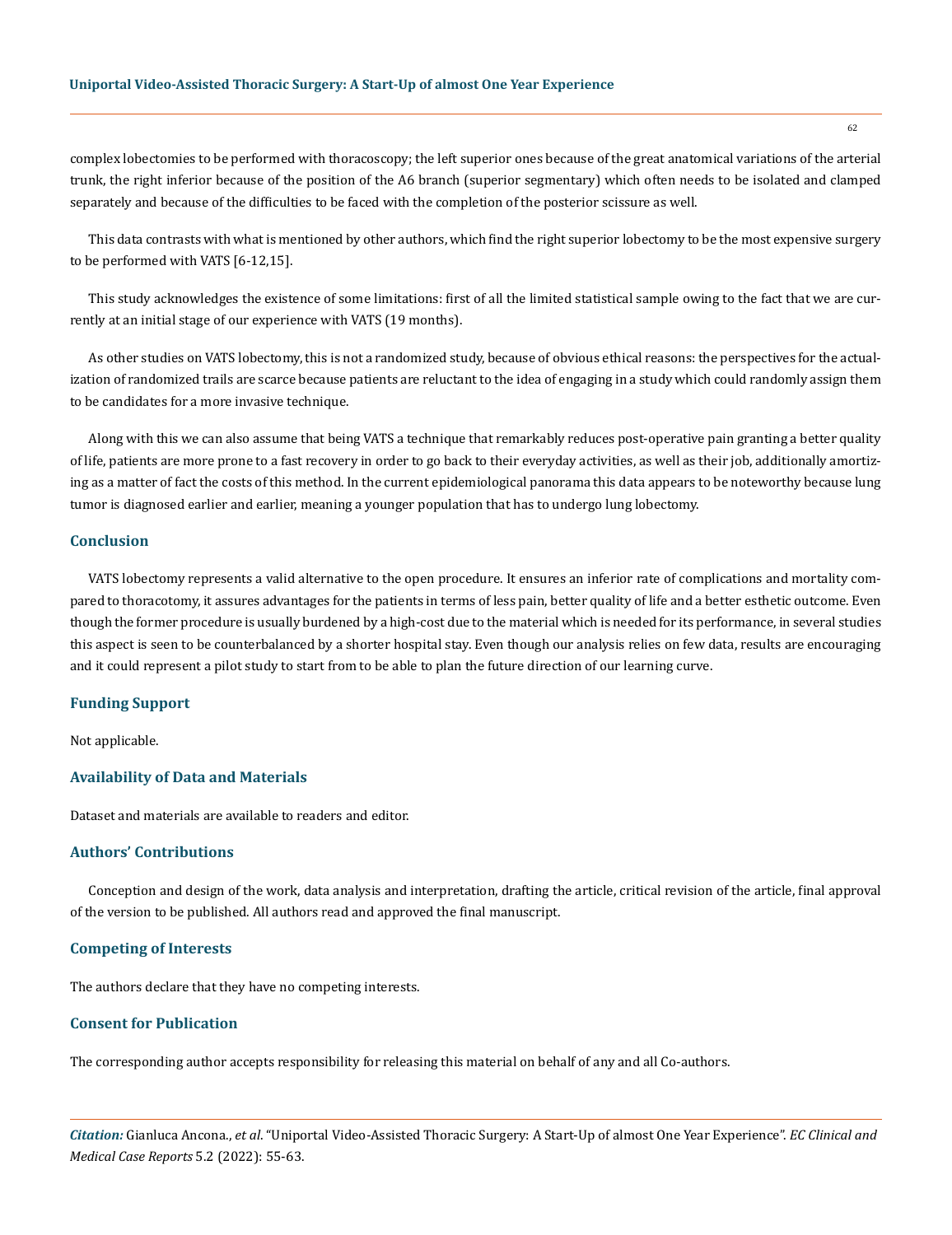#### **Uniportal Video-Assisted Thoracic Surgery: A Start-Up of almost One Year Experience**

complex lobectomies to be performed with thoracoscopy; the left superior ones because of the great anatomical variations of the arterial trunk, the right inferior because of the position of the A6 branch (superior segmentary) which often needs to be isolated and clamped separately and because of the difficulties to be faced with the completion of the posterior scissure as well.

This data contrasts with what is mentioned by other authors, which find the right superior lobectomy to be the most expensive surgery to be performed with VATS [6-12,15].

This study acknowledges the existence of some limitations: first of all the limited statistical sample owing to the fact that we are currently at an initial stage of our experience with VATS (19 months).

As other studies on VATS lobectomy, this is not a randomized study, because of obvious ethical reasons: the perspectives for the actualization of randomized trails are scarce because patients are reluctant to the idea of engaging in a study which could randomly assign them to be candidates for a more invasive technique.

Along with this we can also assume that being VATS a technique that remarkably reduces post-operative pain granting a better quality of life, patients are more prone to a fast recovery in order to go back to their everyday activities, as well as their job, additionally amortizing as a matter of fact the costs of this method. In the current epidemiological panorama this data appears to be noteworthy because lung tumor is diagnosed earlier and earlier, meaning a younger population that has to undergo lung lobectomy.

## **Conclusion**

VATS lobectomy represents a valid alternative to the open procedure. It ensures an inferior rate of complications and mortality compared to thoracotomy, it assures advantages for the patients in terms of less pain, better quality of life and a better esthetic outcome. Even though the former procedure is usually burdened by a high-cost due to the material which is needed for its performance, in several studies this aspect is seen to be counterbalanced by a shorter hospital stay. Even though our analysis relies on few data, results are encouraging and it could represent a pilot study to start from to be able to plan the future direction of our learning curve.

## **Funding Support**

Not applicable.

## **Availability of Data and Materials**

Dataset and materials are available to readers and editor.

## **Authors' Contributions**

Conception and design of the work, data analysis and interpretation, drafting the article, critical revision of the article, final approval of the version to be published. All authors read and approved the final manuscript.

#### **Competing of Interests**

The authors declare that they have no competing interests.

## **Consent for Publication**

The corresponding author accepts responsibility for releasing this material on behalf of any and all Co-authors.

*Citation:* Gianluca Ancona., *et al*. "Uniportal Video-Assisted Thoracic Surgery: A Start-Up of almost One Year Experience". *EC Clinical and Medical Case Reports* 5.2 (2022): 55-63.